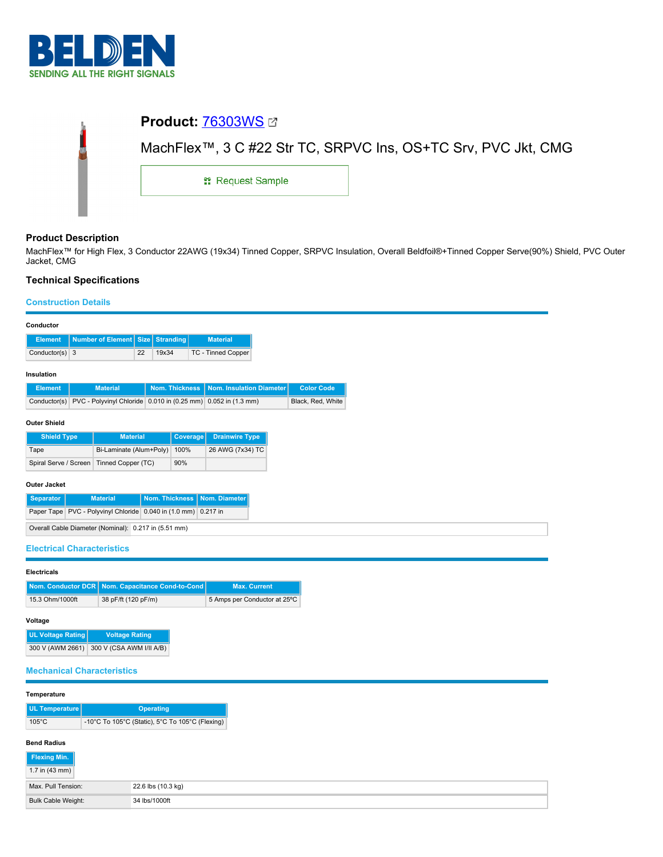

| MachFlex™, 3 C #22 Str TC, SRPVC Ins, OS+TC Srv, PVC Jkt, CMG |  |  |  |  |
|---------------------------------------------------------------|--|--|--|--|
| <b>: Request Sample</b>                                       |  |  |  |  |
|                                                               |  |  |  |  |

## **Product Description**

MachFlex™ for High Flex, 3 Conductor 22AWG (19x34) Tinned Copper, SRPVC Insulation, Overall Beldfoil®+Tinned Copper Serve(90%) Shield, PVC Outer Jacket, CMG

# **Technical Specifications**

### **Construction Details**

| Conductor                                            |                                                                |                                  |    |       |                       |                                                               |                   |
|------------------------------------------------------|----------------------------------------------------------------|----------------------------------|----|-------|-----------------------|---------------------------------------------------------------|-------------------|
| <b>Element</b>                                       |                                                                | Number of Element Size Stranding |    |       |                       | <b>Material</b>                                               |                   |
| Conductor(s) $3$                                     |                                                                |                                  | 22 | 19x34 |                       | TC - Tinned Copper                                            |                   |
| Insulation                                           |                                                                |                                  |    |       |                       |                                                               |                   |
| <b>Element</b>                                       |                                                                | <b>Material</b>                  |    |       | <b>Nom. Thickness</b> | Nom. Insulation Diameter                                      | <b>Color Code</b> |
| Conductor(s)                                         |                                                                |                                  |    |       |                       | PVC - Polyvinyl Chloride 0.010 in (0.25 mm) 0.052 in (1.3 mm) | Black, Red, White |
| <b>Outer Shield</b>                                  |                                                                |                                  |    |       |                       |                                                               |                   |
| <b>Shield Type</b>                                   |                                                                | <b>Material</b>                  |    |       | <b>Coverage</b>       | <b>Drainwire Type</b>                                         |                   |
| Tape                                                 |                                                                | Bi-Laminate (Alum+Poly)          |    |       | 100%                  | 26 AWG (7x34) TC                                              |                   |
| Spiral Serve / Screen                                |                                                                | Tinned Copper (TC)               |    |       | 90%                   |                                                               |                   |
| <b>Outer Jacket</b>                                  |                                                                |                                  |    |       |                       |                                                               |                   |
| <b>Separator</b>                                     | Nom. Thickness<br><b>Material</b><br>Nom. Diameter             |                                  |    |       |                       |                                                               |                   |
|                                                      | Paper Tape PVC - Polyvinyl Chloride 0.040 in (1.0 mm) 0.217 in |                                  |    |       |                       |                                                               |                   |
| Overall Cable Diameter (Nominal): 0.217 in (5.51 mm) |                                                                |                                  |    |       |                       |                                                               |                   |
| <b>Electrical Characteristics</b>                    |                                                                |                                  |    |       |                       |                                                               |                   |

### **Electricals**

|                 | Nom. Conductor DCR   Nom. Capacitance Cond-to-Cond | <b>Max. Current</b>          |
|-----------------|----------------------------------------------------|------------------------------|
| 15.3 Ohm/1000ft | 38 pF/ft (120 pF/m)                                | 5 Amps per Conductor at 25°C |

## **Voltage**

| <b>UL Voltage Rating</b> | <b>Voltage Rating</b>    |
|--------------------------|--------------------------|
| 300 V (AWM 2661)         | 300 V (CSA AWM I/II A/B) |

### **Mechanical Characteristics**

### **Temperature**

| UL Temperature  | <b>Operating</b>                                |
|-----------------|-------------------------------------------------|
| $105^{\circ}$ C | -10°C To 105°C (Static), 5°C To 105°C (Flexing) |

## **Bend Radius**

| Flexing Min.             |                    |
|--------------------------|--------------------|
| 1.7 in $(43 \text{ mm})$ |                    |
| Max, Pull Tension:       | 22.6 lbs (10.3 kg) |
| Bulk Cable Weight:       | 34 lbs/1000ft      |